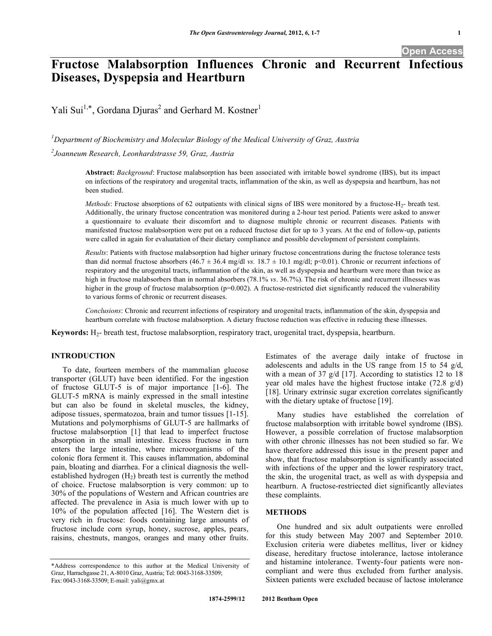# **Fructose Malabsorption Influences Chronic and Recurrent Infectious Diseases, Dyspepsia and Heartburn**

Yali Sui<sup>1,\*</sup>, Gordana Djuras<sup>2</sup> and Gerhard M. Kostner<sup>1</sup>

*1 Department of Biochemistry and Molecular Biology of the Medical University of Graz, Austria*

*2 Joanneum Research, Leonhardstrasse 59, Graz, Austria*

**Abstract:** *Background*: Fructose malabsorption has been associated with irritable bowel syndrome (IBS), but its impact on infections of the respiratory and urogenital tracts, inflammation of the skin, as well as dyspepsia and heartburn, has not been studied.

*Methods*: Fructose absorptions of 62 outpatients with clinical signs of IBS were monitored by a fructose-H<sub>2</sub>- breath test. Additionally, the urinary fructose concentration was monitored during a 2-hour test period. Patients were asked to answer a questionnaire to evaluate their discomfort and to diagnose multiple chronic or recurrent diseases. Patients with manifested fructose malabsorption were put on a reduced fructose diet for up to 3 years. At the end of follow-up, patients were called in again for evaluatation of their dietary compliance and possible development of persistent complaints.

*Results*: Patients with fructose malabsorption had higher urinary fructose concentrations during the fructose tolerance tests than did normal fructose absorbers  $(46.7 \pm 36.4 \text{ mg/dl vs. } 18.7 \pm 10.1 \text{ mg/dl}; p<0.01)$ . Chronic or recurrent infections of respiratory and the urogenital tracts, inflammation of the skin, as well as dyspepsia and heartburn were more than twice as high in fructose malabsorbers than in normal absorbers (78.1% *vs*. 36.7%). The risk of chronic and recurrent illnesses was higher in the group of fructose malabsorption (p=0.002). A fructose-restricted diet significantly reduced the vulnerability to various forms of chronic or recurrent diseases.

*Conclusions*: Chronic and recurrent infections of respiratory and urogenital tracts, inflammation of the skin, dyspepsia and heartburn correlate with fructose malabsorption. A dietary fructose reduction was effective in reducing these illnesses.

**Keywords:** H2- breath test, fructose malabsorption, respiratory tract, urogenital tract, dyspepsia, heartburn.

#### **INTRODUCTION**

To date, fourteen members of the mammalian glucose transporter (GLUT) have been identified. For the ingestion of fructose GLUT-5 is of major importance [1-6]. The GLUT-5 mRNA is mainly expressed in the small intestine but can also be found in skeletal muscles, the kidney, adipose tissues, spermatozoa, brain and tumor tissues [1-15]. Mutations and polymorphisms of GLUT-5 are hallmarks of fructose malabsorption [1] that lead to imperfect fructose absorption in the small intestine. Excess fructose in turn enters the large intestine, where microorganisms of the colonic flora ferment it. This causes inflammation, abdominal pain, bloating and diarrhea. For a clinical diagnosis the wellestablished hydrogen  $(H<sub>2</sub>)$  breath test is currently the method of choice. Fructose malabsorption is very common: up to 30% of the populations of Western and African countries are affected. The prevalence in Asia is much lower with up to 10% of the population affected [16]. The Western diet is very rich in fructose: foods containing large amounts of fructose include corn syrup, honey, sucrose, apples, pears, raisins, chestnuts, mangos, oranges and many other fruits.

Estimates of the average daily intake of fructose in adolescents and adults in the US range from 15 to 54 g/d, with a mean of 37 g/d [17]. According to statistics 12 to 18 year old males have the highest fructose intake (72.8 g/d) [18]. Urinary extrinsic sugar excretion correlates significantly with the dietary uptake of fructose [19].

Many studies have established the correlation of fructose malabsorption with irritable bowel syndrome (IBS). However, a possible correlation of fructose malabsorption with other chronic illnesses has not been studied so far. We have therefore addressed this issue in the present paper and show, that fructose malabsorption is significantly associated with infections of the upper and the lower respiratory tract, the skin, the urogenital tract, as well as with dyspepsia and heartburn. A fructose-restriected diet significantly alleviates these complaints.

# **METHODS**

One hundred and six adult outpatients were enrolled for this study between May 2007 and September 2010. Exclusion criteria were diabetes mellitus, liver or kidney disease, hereditary fructose intolerance, lactose intolerance and histamine intolerance. Twenty-four patients were noncompliant and were thus excluded from further analysis. Sixteen patients were excluded because of lactose intolerance

<sup>\*</sup>Address correspondence to this author at the Medical University of Graz, Harrachgasse 21, A-8010 Graz, Austria; Tel: 0043-3168-33509; Fax: 0043-3168-33509; E-mail: yali@gmx.at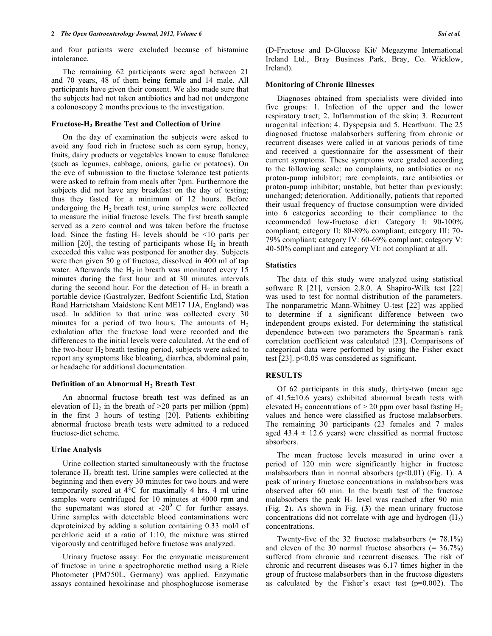and four patients were excluded because of histamine intolerance.

The remaining 62 participants were aged between 21 and 70 years, 48 of them being female and 14 male. All participants have given their consent. We also made sure that the subjects had not taken antibiotics and had not undergone a colonoscopy 2 months previous to the investigation.

#### **Fructose-H2 Breathe Test and Collection of Urine**

On the day of examination the subjects were asked to avoid any food rich in fructose such as corn syrup, honey, fruits, dairy products or vegetables known to cause flatulence (such as legumes, cabbage, onions, garlic or potatoes). On the eve of submission to the fructose tolerance test patients were asked to refrain from meals after 7pm. Furthermore the subjects did not have any breakfast on the day of testing; thus they fasted for a minimum of 12 hours. Before undergoing the H2 breath test, urine samples were collected to measure the initial fructose levels. The first breath sample served as a zero control and was taken before the fructose load. Since the fasting  $H_2$  levels should be <10 parts per million [20], the testing of participants whose  $H_2$  in breath exceeded this value was postponed for another day. Subjects were then given 50 g of fructose, dissolved in 400 ml of tap water. Afterwards the  $H_2$  in breath was monitored every 15 minutes during the first hour and at 30 minutes intervals during the second hour. For the detection of  $H_2$  in breath a portable device (Gastrolyzer, Bedfont Scientific Ltd, Station Road Harrietsham Maidstone Kent ME17 1JA, England) was used. In addition to that urine was collected every 30 minutes for a period of two hours. The amounts of  $H_2$ exhalation after the fructose load were recorded and the differences to the initial levels were calculated. At the end of the two-hour  $H_2$  breath testing period, subjects were asked to report any symptoms like bloating, diarrhea, abdominal pain, or headache for additional documentation.

# **Definition** of an Abnormal **H<sub>2</sub> Breath** Test

An abnormal fructose breath test was defined as an elevation of  $H_2$  in the breath of  $>20$  parts per million (ppm) in the first 3 hours of testing [20]. Patients exhibiting abnormal fructose breath tests were admitted to a reduced fructose-diet scheme.

# **Urine Analysis**

Urine collection started simultaneously with the fructose tolerance H2 breath test. Urine samples were collected at the beginning and then every 30 minutes for two hours and were temporarily stored at 4°C for maximally 4 hrs. 4 ml urine samples were centrifuged for 10 minutes at 4000 rpm and the supernatant was stored at  $-20^{\circ}$  C for further assays. Urine samples with detectable blood contaminations were deproteinized by adding a solution containing 0.33 mol/l of perchloric acid at a ratio of 1:10, the mixture was stirred vigorously and centrifuged before fructose was analyzed.

Urinary fructose assay: For the enzymatic measurement of fructose in urine a spectrophoretic method using a Riele Photometer (PM750L, Germany) was applied. Enzymatic assays contained hexokinase and phosphoglucose isomerase

(D-Fructose and D-Glucose Kit/ Megazyme International Ireland Ltd., Bray Business Park, Bray, Co. Wicklow, Ireland).

# **Monitoring of Chronic Illnesses**

Diagnoses obtained from specialists were divided into five groups: 1. Infection of the upper and the lower respiratory tract; 2. Inflammation of the skin; 3. Recurrent urogenital infection; 4. Dyspepsia and 5. Heartburn. The 25 diagnosed fructose malabsorbers suffering from chronic or recurrent diseases were called in at various periods of time and received a questionnaire for the assessment of their current symptoms. These symptoms were graded according to the following scale: no complaints, no antibiotics or no proton-pump inhibitor; rare complaints, rare antibiotics or proton-pump inhibitor; unstable, but better than previously; unchanged; deterioration. Additionally, patients that reported their usual frequency of fructose consumption were divided into 6 categories according to their compliance to the recommended low-fructose diet: Category I: 90-100% compliant; category II: 80-89% compliant; category III: 70- 79% compliant; category IV: 60-69% compliant; category V: 40-50% compliant and category VI: not compliant at all.

# **Statistics**

The data of this study were analyzed using statistical software R [21], version 2.8.0. A Shapiro-Wilk test [22] was used to test for normal distribution of the parameters. The nonparametric Mann-Whitney U-test [22] was applied to determine if a significant difference between two independent groups existed. For determining the statistical dependence between two parameters the Spearman's rank correlation coefficient was calculated [23]. Comparisons of categorical data were performed by using the Fisher exact test [23]. p<0.05 was considered as significant.

# **RESULTS**

Of 62 participants in this study, thirty-two (mean age of 41.5±10.6 years) exhibited abnormal breath tests with elevated H<sub>2</sub> concentrations of  $> 20$  ppm over basal fasting H<sub>2</sub> values and hence were classified as fructose malabsorbers. The remaining 30 participants (23 females and 7 males aged  $43.4 \pm 12.6$  years) were classified as normal fructose absorbers.

The mean fructose levels measured in urine over a period of 120 min were significantly higher in fructose malabsorbers than in normal absorbers (p<0.01) (Fig. **1**). A peak of urinary fructose concentrations in malabsorbers was observed after 60 min. In the breath test of the fructose malabsorbers the peak  $H_2$  level was reached after 90 min (Fig. **2**). As shown in Fig. (**3**) the mean urinary fructose concentrations did not correlate with age and hydrogen  $(H<sub>2</sub>)$ concentrations.

Twenty-five of the 32 fructose malabsorbers  $(= 78.1\%)$ and eleven of the 30 normal fructose absorbers  $(= 36.7\%)$ suffered from chronic and recurrent diseases. The risk of chronic and recurrent diseases was 6.17 times higher in the group of fructose malabsorbers than in the fructose digesters as calculated by the Fisher's exact test  $(p=0.002)$ . The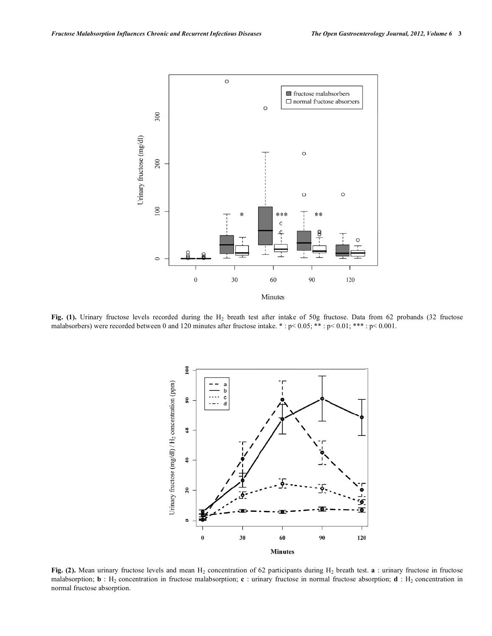

Fig. (1). Urinary fructose levels recorded during the H<sub>2</sub> breath test after intake of 50g fructose. Data from 62 probands (32 fructose malabsorbers) were recorded between 0 and 120 minutes after fructose intake. \* : p< 0.05; \*\* : p< 0.01; \*\*\* : p< 0.001.



**Fig. (2).** Mean urinary fructose levels and mean H<sub>2</sub> concentration of 62 participants during H<sub>2</sub> breath test. **a** : urinary fructose in fructose malabsorption; **b** : H<sub>2</sub> concentration in fructose malabsorption; **c** : urinary fructose in normal fructose absorption; **d** : H<sub>2</sub> concentration in normal fructose absorption.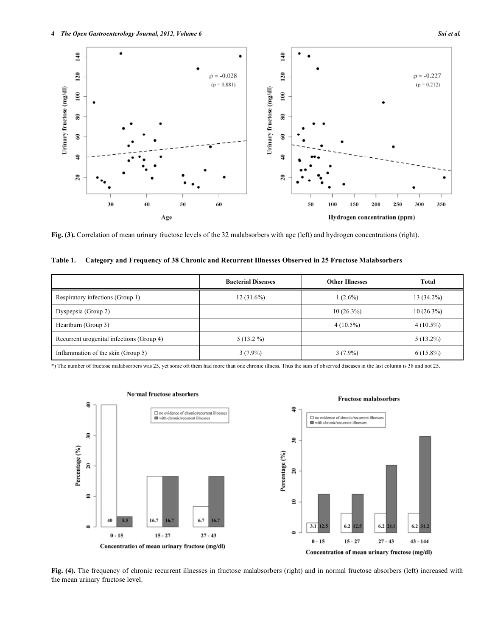

**Fig. (3).** Correlation of mean urinary fructose levels of the 32 malabsorbers with age (left) and hydrogen concentrations (right).

| Table 1. Category and Frequency of 38 Chronic and Recurrent Illnesses Observed in 25 Fructose Malabsorbers |  |  |
|------------------------------------------------------------------------------------------------------------|--|--|
|                                                                                                            |  |  |

|                                           | <b>Bacterial Diseases</b> | <b>Other Illnesses</b> | Total        |
|-------------------------------------------|---------------------------|------------------------|--------------|
| Respiratory infections (Group 1)          | $12(31.6\%)$              | $1(2.6\%)$             | $13(34.2\%)$ |
| Dyspepsia (Group 2)                       |                           | $10(26.3\%)$           | $10(26.3\%)$ |
| Heartburn (Group 3)                       |                           | $4(10.5\%)$            | $4(10.5\%)$  |
| Recurrent urogenital infections (Group 4) | $5(13.2\%)$               |                        | $5(13.2\%)$  |
| Inflammation of the skin (Group 5)        | $3(7.9\%)$                | $3(7.9\%)$             | $6(15.8\%)$  |

\*) The number of fructose malabsorbers was 25, yet some oft them had more than one chronic illness. Thus the sum of observed diseases in the last column is 38 and not 25.



#### Normal fructose absorbers

**Fig. (4).** The frequency of chronic recurrent illnesses in fructose malabsorbers (right) and in normal fructose absorbers (left) increased with the mean urinary fructose level.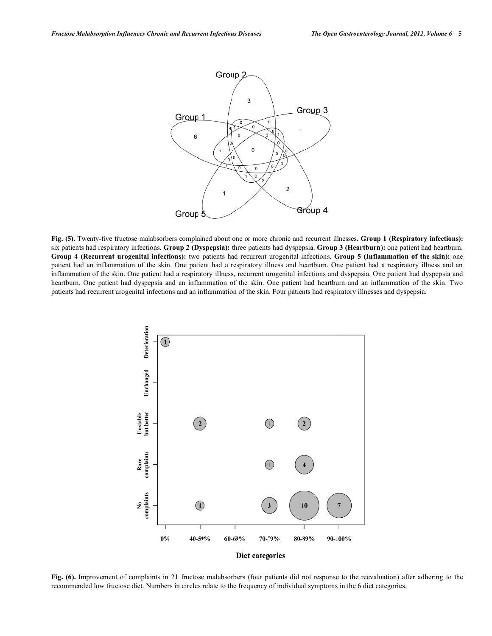

**Fig. (5).** Twenty-five fructose malabsorbers complained about one or more chronic and recurrent illnesses**. Group 1 (Respiratory infections):** six patients had respiratory infections. **Group 2 (Dyspepsia):** three patients had dyspepsia. **Group 3 (Heartburn):** one patient had heartburn. **Group 4 (Recurrent urogenital infections):** two patients had recurrent urogenital infections. **Group 5 (Inflammation of the skin):** one patient had an inflammation of the skin. One patient had a respiratory illness and heartburn. One patient had a respiratory illness and an inflammation of the skin. One patient had a respiratory illness, recurrent urogenital infections and dyspepsia. One patient had dyspepsia and heartburn. One patient had dyspepsia and an inflammation of the skin. One patient had heartburn and an inflammation of the skin. Two patients had recurrent urogenital infections and an inflammation of the skin. Four patients had respiratory illnesses and dyspepsia.



**Fig. (6).** Improvement of complaints in 21 fructose malabsorbers (four patients did not response to the reevaluation) after adhering to the recommended low fructose diet. Numbers in circles relate to the frequency of individual symptoms in the 6 diet categories.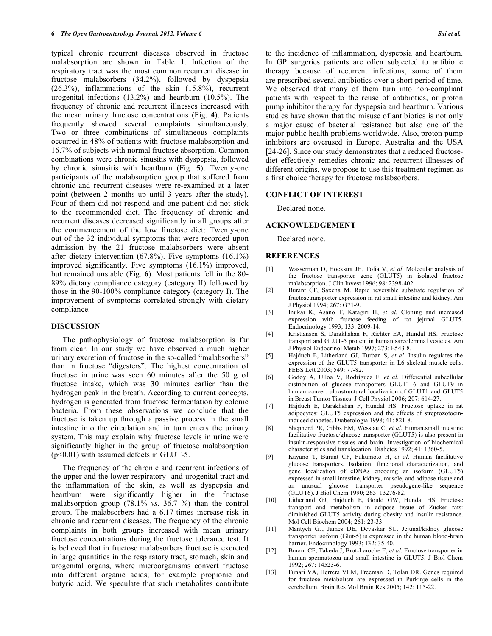typical chronic recurrent diseases observed in fructose malabsorption are shown in Table **1**. Infection of the respiratory tract was the most common recurrent disease in fructose malabsorbers (34.2%), followed by dyspepsia (26.3%), inflammations of the skin (15.8%), recurrent urogenital infections (13.2%) and heartburn (10.5%). The frequency of chronic and recurrent illnesses increased with the mean urinary fructose concentrations (Fig. **4**). Patients frequently showed several complaints simultaneously. Two or three combinations of simultaneous complaints occurred in 48% of patients with fructose malabsorption and 16.7% of subjects with normal fructose absorption. Common combinations were chronic sinusitis with dyspepsia, followed by chronic sinusitis with heartburn (Fig. **5**). Twenty-one participants of the malabsorption group that suffered from chronic and recurrent diseases were re-examined at a later point (between 2 months up until 3 years after the study). Four of them did not respond and one patient did not stick to the recommended diet. The frequency of chronic and recurrent diseases decreased significantly in all groups after the commencement of the low fructose diet: Twenty-one out of the 32 individual symptoms that were recorded upon admission by the 21 fructose malabsorbers were absent after dietary intervention (67.8%). Five symptoms (16.1%) improved significantly. Five symptoms (16.1%) improved, but remained unstable (Fig. **6**). Most patients fell in the 80- 89% dietary compliance category (category II) followed by those in the 90-100% compliance category (category I). The improvement of symptoms correlated strongly with dietary compliance.

#### **DISCUSSION**

The pathophysiology of fructose malabsorption is far from clear. In our study we have observed a much higher urinary excretion of fructose in the so-called "malabsorbers" than in fructose "digesters". The highest concentration of fructose in urine was seen 60 minutes after the 50 g of fructose intake, which was 30 minutes earlier than the hydrogen peak in the breath. According to current concepts, hydrogen is generated from fructose fermentation by colonic bacteria. From these observations we conclude that the fructose is taken up through a passive process in the small intestine into the circulation and in turn enters the urinary system. This may explain why fructose levels in urine were significantly higher in the group of fructose malabsorption (p<0.01) with assumed defects in GLUT-5.

The frequency of the chronic and recurrent infections of the upper and the lower respiratory- and urogenital tract and the inflammation of the skin, as well as dyspepsia and heartburn were significantly higher in the fructose malabsorption group (78.1% *vs*. 36.7 %) than the control group. The malabsorbers had a 6.17-times increase risk in chronic and recurrent diseases. The frequency of the chronic complaints in both groups increased with mean urinary fructose concentrations during the fructose tolerance test. It is believed that in fructose malabsorbers fructose is excreted in large quantities in the respiratory tract, stomach, skin and urogenital organs, where microorganisms convert fructose into different organic acids; for example propionic and butyric acid. We speculate that such metabolites contribute

to the incidence of inflammation, dyspepsia and heartburn. In GP surgeries patients are often subjected to antibiotic therapy because of recurrent infections, some of them are prescribed several antibiotics over a short period of time. We observed that many of them turn into non-compliant patients with respect to the reuse of antibiotics, or proton pump inhibitor therapy for dyspepsia and heartburn. Various studies have shown that the misuse of antibiotics is not only a major cause of bacterial resistance but also one of the major public health problems worldwide. Also, proton pump inhibitors are overused in Europe, Australia and the USA [24-26]. Since our study demonstrates that a reduced fructosediet effectively remedies chronic and recurrent illnesses of different origins, we propose to use this treatment regimen as a first choice therapy for fructose malabsorbers.

#### **CONFLICT OF INTEREST**

Declared none.

### **ACKNOWLEDGEMENT**

Declared none.

#### **REFERENCES**

- [1] Wasserman D, Hoekstra JH, Tolia V, *et al*. Molecular analysis of the fructose transporter gene (GLUT5) in isolated fructose malabsorption. J Clin Invest 1996; 98: 2398-402.
- [2] Burant CF, Saxena M. Rapid reversible substrate regulation of fructosetransporter expression in rat small intestine and kidney. Am J Physiol 1994; 267: G71-9.
- [3] Inukai K, Asano T, Katagiri H, *et al*. Cloning and increased expression with fructose feeding of rat jejunal GLUT5. Endocrinology 1993; 133: 2009-14.
- [4] Kristiansen S, Darakhshan F, Richter EA, Hundal HS. Fructose transport and GLUT-5 protein in human sarcolemmal vesicles. Am J Physiol Endocrinol Metab 1997; 273: E543-8.
- [5] Hajduch E, Litherland GJ, Turban S, *et al*. Insulin regulates the expression of the GLUT5 transporter in L6 skeletal muscle cells. FEBS Lett 2003; 549: 77-82.
- [6] Godoy A, Ulloa V, Rodríguez F, *et al*. Differential subcellular distribution of glucose transporters GLUT1–6 and GLUT9 in human cancer: ultrastructural localization of GLUT1 and GLUT5 in Breast Tumor Tissues. J Cell Physiol 2006; 207: 614-27.
- [7] Hajduch E, Darakhshan F, Hundal HS. Fructose uptake in rat adipocytes: GLUT5 expression and the effects of streptozotocininduced diabetes. Diabetologia 1998; 41: 821-8.
- [8] Shepherd PR, Gibbs EM, Wesslau C, *et al*. Human.small intestine facilitative fructose/glucose transporter (GLUT5) is also present in insulin-responsive tissues and brain. Investigation of biochemical characteristics and translocation. Diabetes 1992; 41: 1360-5.
- [9] Kayano T, Burant CF, Fukumoto H, *et al*. Human facilitative glucose transporters. Isolation, functional characterization, and gene localization of cDNAs encoding an isoform (GLUT5) expressed in small intestine, kidney, muscle, and adipose tissue and an unusual glucose transporter pseudogene-like sequence (GLUT6). J Biol Chem 1990; 265: 13276-82.
- [10] Litherland GJ, Hajduch E, Gould GW, Hundal HS. Fructose transport and metabolism in adipose tissue of Zucker rats: diminished GLUT5 activity during obesity and insulin resistance. Mol Cell Biochem 2004; 261: 23-33.
- [11] Mantych GJ, James DE, Devaskar SU. Jejunal/kidney glucose transporter isoform (Glut-5) is expressed in the human blood-brain barrier. Endocrinology 1993; 132: 35-40.
- [12] Burant CF, Takeda J, Brot-Laroche E, *et al*. Fructose transporter in human spermatozoa and small intestine is GLUT5. J Biol Chem 1992; 267: 14523-6.
- [13] Funari VA, Herrera VLM, Freeman D, Tolan DR. Genes required for fructose metabolism are expressed in Purkinje cells in the cerebellum. Brain Res Mol Brain Res 2005; 142: 115-22.